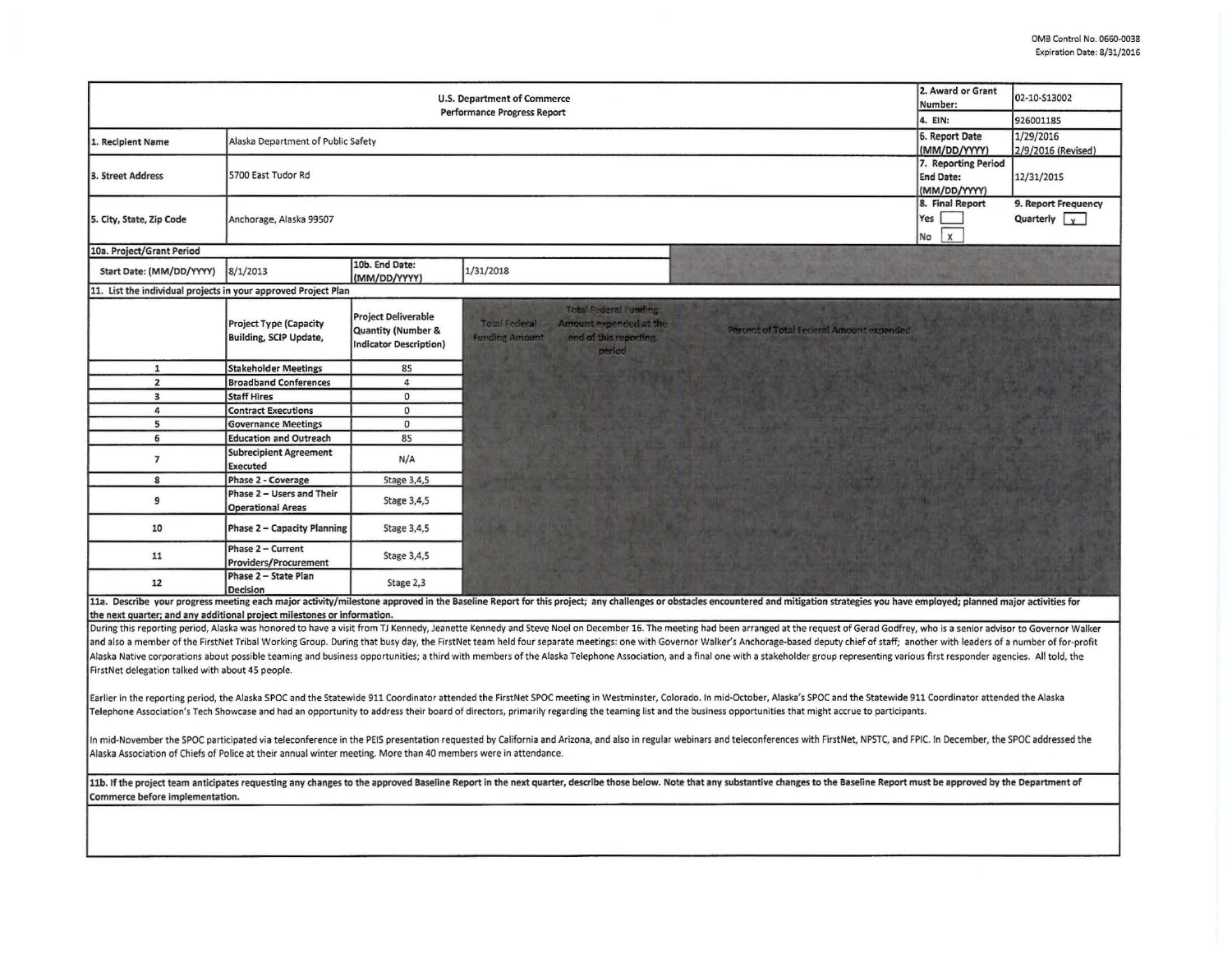| <b>U.S. Department of Commerce</b><br><b>Performance Progress Report</b>                                        |                                                                |                                                                                              |                                                                                                                                                                                                                                                                                                                                                                                                                                            | 2. Award or Grant<br>Number:<br>4. EIN:                 | 02-10-S13002<br>926001185          |
|-----------------------------------------------------------------------------------------------------------------|----------------------------------------------------------------|----------------------------------------------------------------------------------------------|--------------------------------------------------------------------------------------------------------------------------------------------------------------------------------------------------------------------------------------------------------------------------------------------------------------------------------------------------------------------------------------------------------------------------------------------|---------------------------------------------------------|------------------------------------|
|                                                                                                                 |                                                                | 6. Report Date                                                                               | 1/29/2016                                                                                                                                                                                                                                                                                                                                                                                                                                  |                                                         |                                    |
| 1. Recipient Name                                                                                               | Alaska Department of Public Safety                             |                                                                                              |                                                                                                                                                                                                                                                                                                                                                                                                                                            | (MM/DD/YYYY)                                            | 2/9/2016 (Revised)                 |
| 3. Street Address                                                                                               | 5700 East Tudor Rd                                             |                                                                                              |                                                                                                                                                                                                                                                                                                                                                                                                                                            | 7. Reporting Period<br><b>End Date:</b><br>(MM/DD/YYYY) | 12/31/2015                         |
| 5. City, State, Zip Code                                                                                        | Anchorage, Alaska 99507                                        |                                                                                              |                                                                                                                                                                                                                                                                                                                                                                                                                                            | 8. Final Report<br>Yes<br>$\mathsf{x}$<br>No            | 9. Report Frequency<br>Quarterly v |
| 10a. Project/Grant Period                                                                                       |                                                                |                                                                                              |                                                                                                                                                                                                                                                                                                                                                                                                                                            |                                                         |                                    |
| Start Date: (MM/DD/YYYY)                                                                                        | 8/1/2013                                                       | 10b. End Date:<br>(MM/DD/YYYY)                                                               | 1/31/2018                                                                                                                                                                                                                                                                                                                                                                                                                                  |                                                         |                                    |
| 11. List the individual projects in your approved Project Plan                                                  |                                                                |                                                                                              |                                                                                                                                                                                                                                                                                                                                                                                                                                            |                                                         |                                    |
|                                                                                                                 | <b>Project Type (Capacity</b><br><b>Building, SCIP Update,</b> | <b>Project Deliverable</b><br><b>Quantity (Number &amp;</b><br><b>Indicator Description)</b> | <b>Total Federal Funding</b><br><b>Total Federal</b><br>Amount expended at the<br>Percent of Total Federal Amount expended<br>end of this reporting.<br><b>Funding Amount</b><br>period                                                                                                                                                                                                                                                    |                                                         |                                    |
| $\mathbf{1}$                                                                                                    | <b>Stakeholder Meetings</b>                                    | 85                                                                                           |                                                                                                                                                                                                                                                                                                                                                                                                                                            |                                                         |                                    |
| $\overline{2}$                                                                                                  | <b>Broadband Conferences</b>                                   | $\overline{4}$                                                                               |                                                                                                                                                                                                                                                                                                                                                                                                                                            |                                                         |                                    |
| $\overline{\mathbf{3}}$                                                                                         | <b>Staff Hires</b>                                             | $\circ$                                                                                      |                                                                                                                                                                                                                                                                                                                                                                                                                                            |                                                         |                                    |
| $\pmb{4}$                                                                                                       | <b>Contract Executions</b>                                     | $\mathbf{0}$                                                                                 |                                                                                                                                                                                                                                                                                                                                                                                                                                            |                                                         |                                    |
| 5                                                                                                               | <b>Governance Meetings</b>                                     | $\mathbf{0}$                                                                                 |                                                                                                                                                                                                                                                                                                                                                                                                                                            |                                                         |                                    |
| 6                                                                                                               | <b>Education and Outreach</b>                                  | 85                                                                                           |                                                                                                                                                                                                                                                                                                                                                                                                                                            |                                                         |                                    |
| $\overline{7}$                                                                                                  | <b>Subrecipient Agreement</b><br><b>Executed</b>               | N/A                                                                                          |                                                                                                                                                                                                                                                                                                                                                                                                                                            |                                                         |                                    |
| 8                                                                                                               | Phase 2 - Coverage                                             | Stage 3,4,5                                                                                  |                                                                                                                                                                                                                                                                                                                                                                                                                                            |                                                         |                                    |
| 9                                                                                                               | Phase 2 - Users and Their<br><b>Operational Areas</b>          | Stage 3,4,5                                                                                  |                                                                                                                                                                                                                                                                                                                                                                                                                                            |                                                         |                                    |
| 10                                                                                                              | <b>Phase 2 - Capacity Planning</b>                             | Stage 3,4,5                                                                                  |                                                                                                                                                                                                                                                                                                                                                                                                                                            |                                                         |                                    |
| 11                                                                                                              | Phase 2 - Current<br><b>Providers/Procurement</b>              | Stage 3,4,5                                                                                  |                                                                                                                                                                                                                                                                                                                                                                                                                                            |                                                         |                                    |
| 12                                                                                                              | Phase 2 - State Plan<br><b>Decision</b>                        | Stage 2,3                                                                                    |                                                                                                                                                                                                                                                                                                                                                                                                                                            |                                                         |                                    |
| the next quarter; and any additional project milestones or information.                                         |                                                                |                                                                                              | 11a. Describe your progress meeting each major activity/milestone approved in the Baseline Report for this project; any challenges or obstacles encountered and mitigation strategies you have employed; planned major activit                                                                                                                                                                                                             |                                                         |                                    |
|                                                                                                                 |                                                                |                                                                                              | During this reporting period, Alaska was honored to have a visit from TJ Kennedy, Jeanette Kennedy and Steve Noel on December 16. The meeting had been arranged at the request of Gerad Godfrey, who is a senior advisor to Go                                                                                                                                                                                                             |                                                         |                                    |
|                                                                                                                 |                                                                |                                                                                              | and also a member of the FirstNet Tribal Working Group. During that busy day, the FirstNet team held four separate meetings: one with Governor Walker's Anchorage-based deputy chief of staff; another with leaders of a numbe                                                                                                                                                                                                             |                                                         |                                    |
|                                                                                                                 |                                                                |                                                                                              | Alaska Native corporations about possible teaming and business opportunities; a third with members of the Alaska Telephone Association, and a final one with a stakeholder group representing various first responder agencies                                                                                                                                                                                                             |                                                         |                                    |
| FirstNet delegation talked with about 45 people.                                                                |                                                                |                                                                                              |                                                                                                                                                                                                                                                                                                                                                                                                                                            |                                                         |                                    |
|                                                                                                                 |                                                                |                                                                                              |                                                                                                                                                                                                                                                                                                                                                                                                                                            |                                                         |                                    |
|                                                                                                                 |                                                                |                                                                                              | Earlier in the reporting period, the Alaska SPOC and the Statewide 911 Coordinator attended the FirstNet SPOC meeting in Westminster, Colorado. In mid-October, Alaska's SPOC and the Statewide 911 Coordinator attended the A<br>Telephone Association's Tech Showcase and had an opportunity to address their board of directors, primarily regarding the teaming list and the business opportunities that might accrue to participants. |                                                         |                                    |
| Alaska Association of Chiefs of Police at their annual winter meeting. More than 40 members were in attendance. |                                                                |                                                                                              | In mid-November the SPOC participated via teleconference in the PEIS presentation requested by California and Arizona, and also in regular webinars and teleconferences with FirstNet, NPSTC, and FPIC. In December, the SPOC                                                                                                                                                                                                              |                                                         |                                    |
| Commerce before implementation.                                                                                 |                                                                |                                                                                              | 11b. If the project team anticipates requesting any changes to the approved Baseline Report in the next quarter, describe those below. Note that any substantive changes to the Baseline Report must be approved by the Depart                                                                                                                                                                                                             |                                                         |                                    |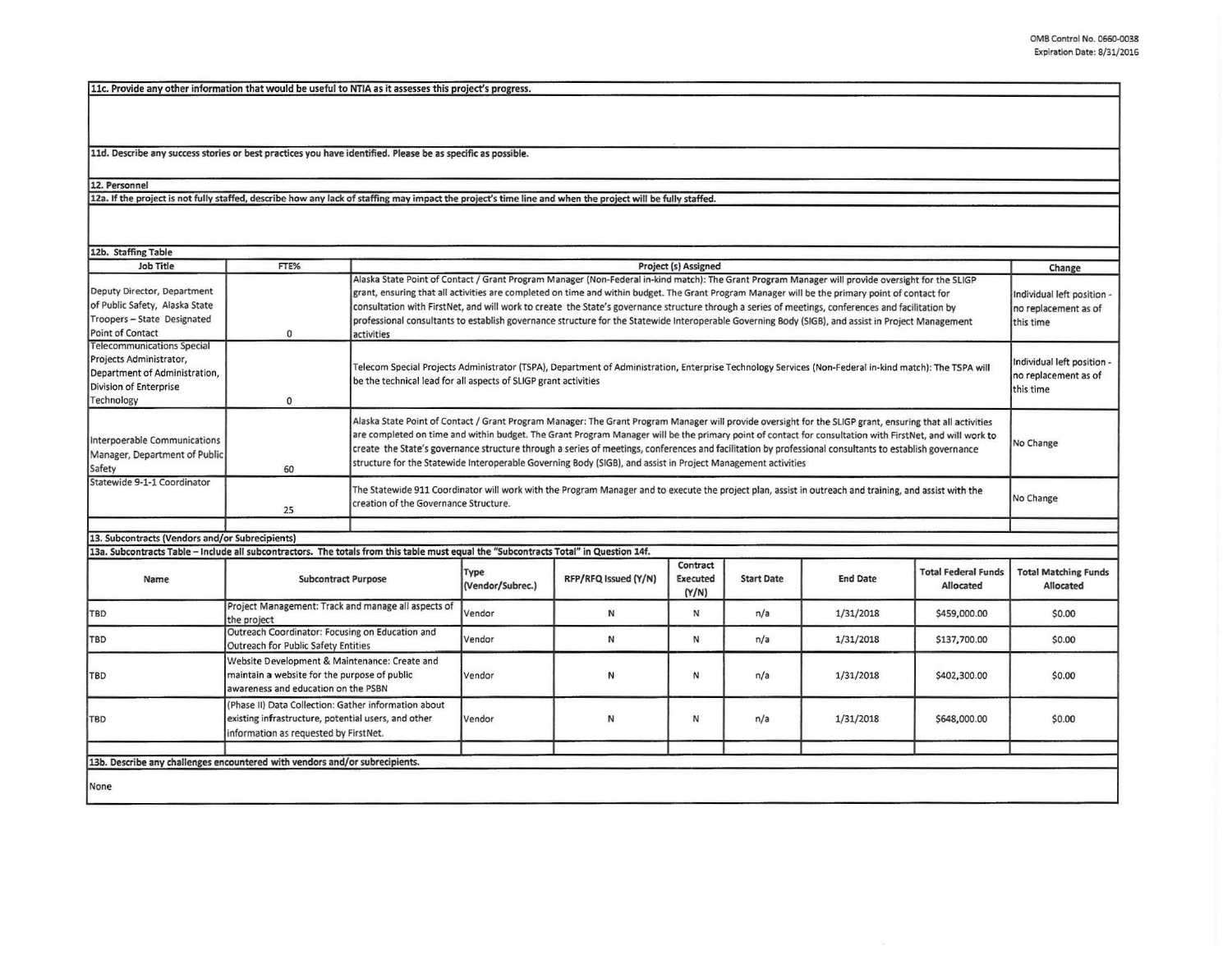llc. Provide anv other information that would be useful to NTIA as it assesses this project's progress.

11d. Describe any success stories or best practices you have identified. Please be as specific as possible.

12. Personnel<br>12a. If the project is not fully staffed, describe how any lack of staffing may impact the project's time line and when the project will be fully staffed.

| 12b. Staffing Table                                                                                                                   |                                                                                                                                                      |                                                                                                                                                                                                                                                                                                                                                                                                                                                                                                                                                                                                                                |                          |                      |                                      |                   |                 |                                                                 |                                          |
|---------------------------------------------------------------------------------------------------------------------------------------|------------------------------------------------------------------------------------------------------------------------------------------------------|--------------------------------------------------------------------------------------------------------------------------------------------------------------------------------------------------------------------------------------------------------------------------------------------------------------------------------------------------------------------------------------------------------------------------------------------------------------------------------------------------------------------------------------------------------------------------------------------------------------------------------|--------------------------|----------------------|--------------------------------------|-------------------|-----------------|-----------------------------------------------------------------|------------------------------------------|
| Job Title                                                                                                                             | FTE%                                                                                                                                                 | Project (s) Assigned                                                                                                                                                                                                                                                                                                                                                                                                                                                                                                                                                                                                           |                          |                      |                                      |                   |                 | Change                                                          |                                          |
| Deputy Director, Department<br>of Public Safety, Alaska State<br>Troopers - State Designated<br>Point of Contact                      | $\Omega$                                                                                                                                             | Alaska State Point of Contact / Grant Program Manager (Non-Federal in-kind match): The Grant Program Manager will provide oversight for the SLIGP<br>grant, ensuring that all activities are completed on time and within budget. The Grant Program Manager will be the primary point of contact for<br>consultation with FirstNet, and will work to create the State's governance structure through a series of meetings, conferences and facilitation by<br>professional consultants to establish governance structure for the Statewide Interoperable Governing Body (SIGB), and assist in Project Management<br>activities |                          |                      |                                      |                   |                 | Individual left position -<br>no replacement as of<br>this time |                                          |
| <b>Telecommunications Special</b><br>Projects Administrator,<br>Department of Administration,<br>Division of Enterprise<br>Technology | 0                                                                                                                                                    | Telecom Special Projects Administrator (TSPA), Department of Administration, Enterprise Technology Services (Non-Federal in-kind match): The TSPA will<br>be the technical lead for all aspects of SLIGP grant activities                                                                                                                                                                                                                                                                                                                                                                                                      |                          |                      |                                      |                   |                 | Individual left position -<br>no replacement as of<br>this time |                                          |
| Interpoerable Communications<br>Manager, Department of Public<br>Safety                                                               | 60                                                                                                                                                   | Alaska State Point of Contact / Grant Program Manager: The Grant Program Manager will provide oversight for the SLIGP grant, ensuring that all activities<br>are completed on time and within budget. The Grant Program Manager will be the primary point of contact for consultation with FirstNet, and will work to<br>No Change<br>create the State's governance structure through a series of meetings, conferences and facilitation by professional consultants to establish governance<br>structure for the Statewide Interoperable Governing Body (SIGB), and assist in Project Management activities                   |                          |                      |                                      |                   |                 |                                                                 |                                          |
| Statewide 9-1-1 Coordinator                                                                                                           | 25                                                                                                                                                   | The Statewide 911 Coordinator will work with the Program Manager and to execute the project plan, assist in outreach and training, and assist with the<br>creation of the Governance Structure.                                                                                                                                                                                                                                                                                                                                                                                                                                |                          |                      |                                      |                   |                 | No Change                                                       |                                          |
|                                                                                                                                       |                                                                                                                                                      |                                                                                                                                                                                                                                                                                                                                                                                                                                                                                                                                                                                                                                |                          |                      |                                      |                   |                 |                                                                 |                                          |
| 13. Subcontracts (Vendors and/or Subrecipients)                                                                                       |                                                                                                                                                      |                                                                                                                                                                                                                                                                                                                                                                                                                                                                                                                                                                                                                                |                          |                      |                                      |                   |                 |                                                                 |                                          |
| 13a. Subcontracts Table - Include all subcontractors. The totals from this table must equal the "Subcontracts Total" in Question 14f. |                                                                                                                                                      |                                                                                                                                                                                                                                                                                                                                                                                                                                                                                                                                                                                                                                |                          |                      |                                      |                   |                 |                                                                 |                                          |
| Name                                                                                                                                  | <b>Subcontract Purpose</b>                                                                                                                           |                                                                                                                                                                                                                                                                                                                                                                                                                                                                                                                                                                                                                                | Type<br>(Vendor/Subrec.) | RFP/RFQ Issued (Y/N) | Contract<br><b>Executed</b><br>(Y/N) | <b>Start Date</b> | <b>End Date</b> | <b>Total Federal Funds</b><br>Allocated                         | <b>Total Matching Funds</b><br>Allocated |
| TBD                                                                                                                                   | Project Management: Track and manage all aspects of<br>the project                                                                                   |                                                                                                                                                                                                                                                                                                                                                                                                                                                                                                                                                                                                                                | Vendor                   | N                    | N                                    | n/a               | 1/31/2018       | \$459,000.00                                                    | \$0.00                                   |
| <b>TBD</b>                                                                                                                            | Outreach Coordinator: Focusing on Education and<br>Outreach for Public Safety Entities                                                               |                                                                                                                                                                                                                                                                                                                                                                                                                                                                                                                                                                                                                                | Vendor                   | N                    | N                                    | n/a               | 1/31/2018       | \$137,700.00                                                    | \$0.00                                   |
| TBD                                                                                                                                   | Website Development & Maintenance: Create and<br>maintain a website for the purpose of public<br>awareness and education on the PSBN                 |                                                                                                                                                                                                                                                                                                                                                                                                                                                                                                                                                                                                                                | Vendor                   | N                    | N                                    | n/a               | 1/31/2018       | \$402,300.00                                                    | \$0.00                                   |
| <b>TBD</b>                                                                                                                            | (Phase II) Data Collection: Gather information about<br>existing infrastructure, potential users, and other<br>information as requested by FirstNet. |                                                                                                                                                                                                                                                                                                                                                                                                                                                                                                                                                                                                                                | Vendor                   | N                    | И                                    | n/a               | 1/31/2018       | \$648,000.00                                                    | \$0.00                                   |
|                                                                                                                                       |                                                                                                                                                      |                                                                                                                                                                                                                                                                                                                                                                                                                                                                                                                                                                                                                                |                          |                      |                                      |                   |                 |                                                                 |                                          |
| 13b. Describe any challenges encountered with vendors and/or subrecipients.                                                           |                                                                                                                                                      |                                                                                                                                                                                                                                                                                                                                                                                                                                                                                                                                                                                                                                |                          |                      |                                      |                   |                 |                                                                 |                                          |
| None                                                                                                                                  |                                                                                                                                                      |                                                                                                                                                                                                                                                                                                                                                                                                                                                                                                                                                                                                                                |                          |                      |                                      |                   |                 |                                                                 |                                          |